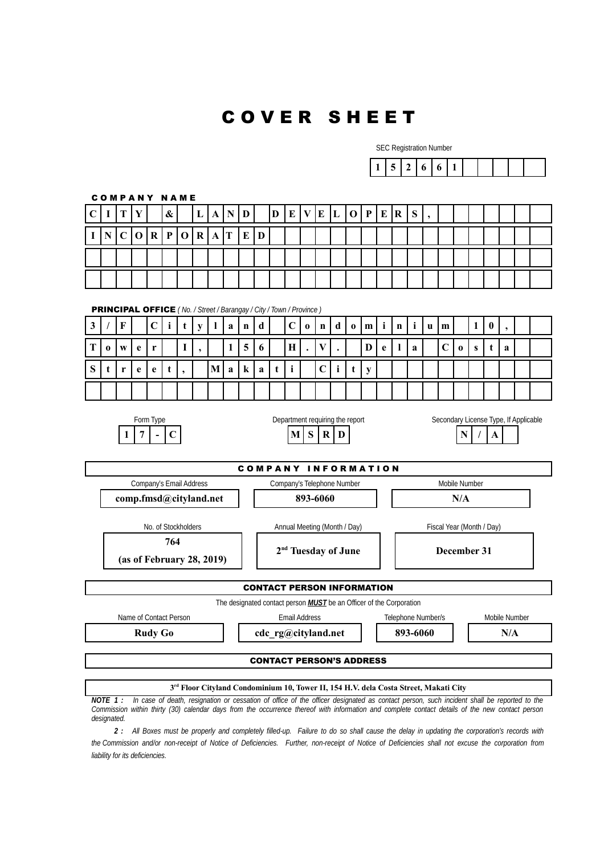## C O V E R S H E E T

SEC Registration Number

| 1.<br>: 1 1<br>, |
|------------------|
|------------------|

C O M P A N Y N A M E  $C|I|T|Y|$   $\&$   $|L|A|N|D|$   $|D|E|V|E|L|O|P|E|R|S|$ **I N C O R P O R A T E D** PRINCIPAL OFFICE *( No. / Street / Barangay / City / Town / Province )* **3 / F C i t y l a n d C o n d o m i n i u m 1 0 , T**  $\begin{bmatrix} 0 & w & e & r \\ 1 & 1 & 1 \end{bmatrix}$ ,  $\begin{bmatrix} 1 & 5 & 6 \\ 1 & 5 & 6 \end{bmatrix}$   $\begin{bmatrix} H & . & V & . \\ H & . & V & . \end{bmatrix}$ ,  $\begin{bmatrix} D & e & 1 & a \\ 1 & 2 & 1 & c \\ 0 & 0 & 5 & 1 & 1 \end{bmatrix}$ **S t r e e t , M a k a t i C i t y** Form Type **Example 2** Department requiring the report **Secondary License Type, If Applicable 1** | **7**  $\vert \cdot \vert$  **C**  $\vert$  **M**  $\vert$  **S**  $\vert \mathbf{R} \vert$  **D**  $\vert$  **N**  $\vert \cdot \vert$  **A** COMPANY INFORMATION Company's Email Address Company's Telephone Number Mobile Number Mobile Number **comp.fmsd@cityland.net 893-6060 N/A** No. of Stockholders Annual Meeting (Month / Day) Fiscal Year (Month / Day) **764 (as of February 28, 2019) 2 nd Tuesday of June December 31** CONTACT PERSON INFORMATION The designated contact person *MUST* be an Officer of the Corporation Name of Contact Person **Email Address** Felephone Number/s Mobile Number **Rudy Go cdc\_rg@cityland.net | 893-6060 | | N/A** CONTACT PERSON'S ADDRESS **3 rd Floor Cityland Condominium 10, Tower II, 154 H.V. dela Costa Street, Makati City**

*NOTE 1 : In case of death, resignation or cessation of office of the officer designated as contact person, such incident shall be reported to the Commission within thirty (30) calendar days from the occurrence thereof with information and complete contact details of the new contact person designated.*

*2 : All Boxes must be properly and completely filled-up. Failure to do so shall cause the delay in updating the corporation's records with the Commission and/or non-receipt of Notice of Deficiencies. Further, non-receipt of Notice of Deficiencies shall not excuse the corporation from liability for its deficiencies.*